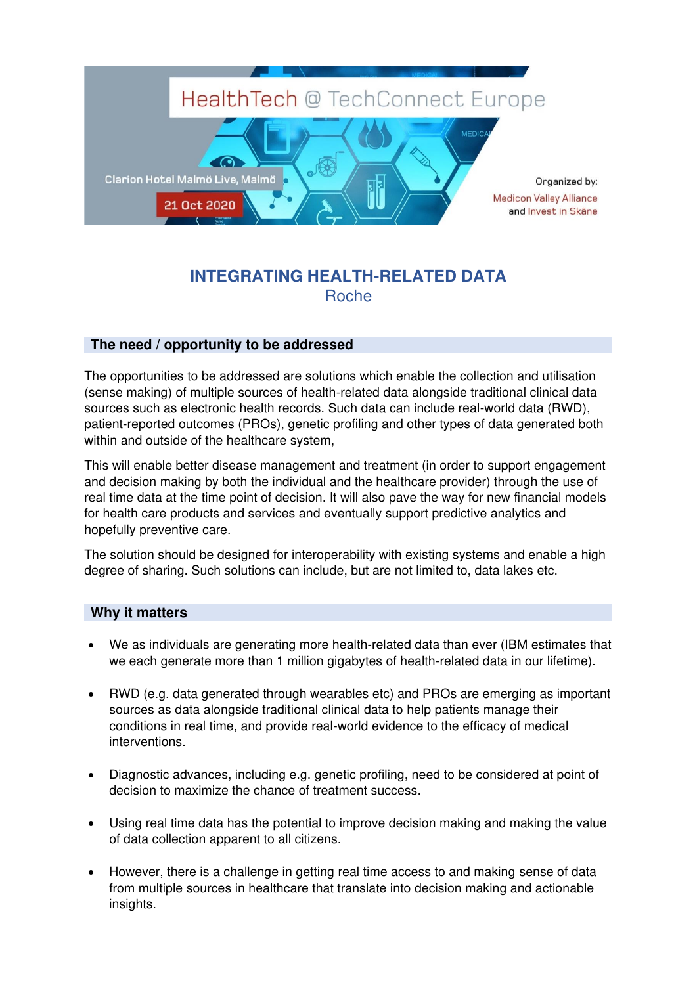

## **INTEGRATING HEALTH-RELATED DATA**  Roche

## **The need / opportunity to be addressed**

The opportunities to be addressed are solutions which enable the collection and utilisation (sense making) of multiple sources of health-related data alongside traditional clinical data sources such as electronic health records. Such data can include real-world data (RWD), patient-reported outcomes (PROs), genetic profiling and other types of data generated both within and outside of the healthcare system,

This will enable better disease management and treatment (in order to support engagement and decision making by both the individual and the healthcare provider) through the use of real time data at the time point of decision. It will also pave the way for new financial models for health care products and services and eventually support predictive analytics and hopefully preventive care.

The solution should be designed for interoperability with existing systems and enable a high degree of sharing. Such solutions can include, but are not limited to, data lakes etc.

## **Why it matters**

- We as individuals are generating more health-related data than ever (IBM estimates that we each generate more than 1 million gigabytes of health-related data in our lifetime).
- RWD (e.g. data generated through wearables etc) and PROs are emerging as important sources as data alongside traditional clinical data to help patients manage their conditions in real time, and provide real-world evidence to the efficacy of medical interventions.
- Diagnostic advances, including e.g. genetic profiling, need to be considered at point of decision to maximize the chance of treatment success.
- Using real time data has the potential to improve decision making and making the value of data collection apparent to all citizens.
- However, there is a challenge in getting real time access to and making sense of data from multiple sources in healthcare that translate into decision making and actionable insights.